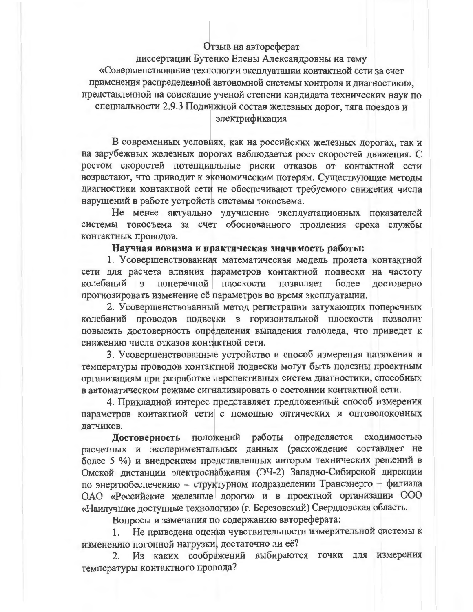## Отзыв на автореферат

диссертации Бутенко Елены Александровны на тему «Совершенствование технологии эксплуатации контактной сети за счет применения распределенной автономной системы контроля и диагностики», представленной на соискание ученой степени кандидата технических наук по специальности 2.9.3 Подвижной состав железных дорог, тяга поездов и электрификация

В современных условиях, как на российских железных дорогах, так и на зарубежных железных дорогах наблюдается рост скоростей движения. С ростом скоростей потенциальные риски отказов от контактной сети возрастают, что приводит к экономическим потерям. Существующие методы диагностики контактной сети не обеспечивают требуемого снижения числа нарушений в работе устройств системы токосъема.

Не менее актуально улучшение эксплуатационных показателей системы токосъема за счет обоснованного продления срока службы контактных проводов.

## Научная новизна и практическая значимость работы:

1. Усовершенствованная математическая модель пролета контактной сети для расчета влияния параметров контактной подвески на частоту достоверно колебаний поперечной ПЛОСКОСТИ позволяет более  $\mathbf{B}$ прогнозировать изменение её параметров во время эксплуатации.

2. Усовершенствованный метод регистрации затухающих поперечных колебаний проводов подвески в горизонтальной плоскости позволит повысить достоверность определения выпадения гололеда, что приведет к снижению числа отказов контактной сети.

3. Усовершенствованные устройство и способ измерения натяжения и температуры проводов контактной подвески могут быть полезны проектным организациям при разработке перспективных систем диагностики, способных в автоматическом режиме сигнализировать о состоянии контактной сети.

4. Прикладной интерес представляет предложенный способ измерения параметров контактной сети с помощью оптических и оптоволоконных датчиков.

Достоверность положений работы определяется сходимостью расчетных и экспериментальных данных (расхождение составляет не более 5 %) и внедрением представленных автором технических решений в Омской дистанции электроснабжения (ЭЧ-2) Западно-Сибирской дирекции по энергообеспечению - структурном подразделении Трансэнерго - филиала ОАО «Российские железные дороги» и в проектной организации ООО «Наилучшие доступные технологии» (г. Березовский) Свердловская область.

Вопросы и замечания по содержанию автореферата:

1. Не приведена оценка чувствительности измерительной системы к изменению погонной нагрузки, достаточно ли её?

Из каких соображений выбираются точки для измерения  $2.$ температуры контактного провода?